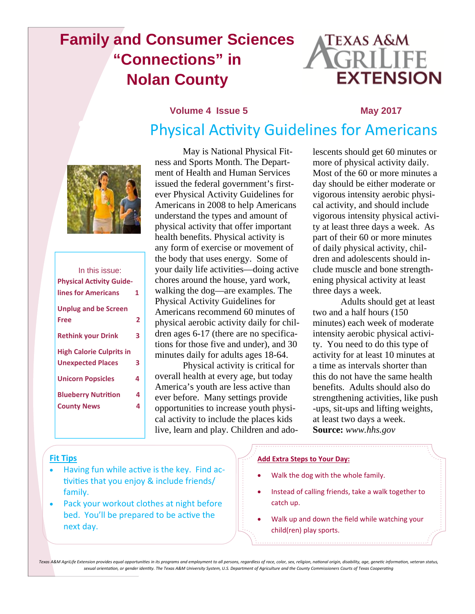# **Family and Consumer Sciences "Connections" in Nolan County**



# **Volume 4 Issue 5 May 2017** Physical Activity Guidelines for Americans



| In this issue:                  |   |
|---------------------------------|---|
| <b>Physical Activity Guide-</b> |   |
| lines for Americans             | 1 |
| <b>Unplug and be Screen</b>     |   |
| Free                            | 2 |
| <b>Rethink your Drink</b>       | 3 |
| <b>High Calorie Culprits in</b> |   |
| <b>Unexpected Places</b>        | 3 |
| <b>Unicorn Popsicles</b>        | 4 |
| <b>Blueberry Nutrition</b>      | 4 |
| <b>County News</b>              | 4 |
|                                 |   |

 May is National Physical Fitness and Sports Month. The Department of Health and Human Services issued the federal government's firstever Physical Activity Guidelines for Americans in 2008 to help Americans understand the types and amount of physical activity that offer important health benefits. Physical activity is any form of exercise or movement of the body that uses energy. Some of your daily life activities—doing active chores around the house, yard work, walking the dog—are examples. The Physical Activity Guidelines for Americans recommend 60 minutes of physical aerobic activity daily for children ages 6-17 (there are no specifications for those five and under), and 30 minutes daily for adults ages 18-64.

 Physical activity is critical for overall health at every age, but today America's youth are less active than ever before. Many settings provide opportunities to increase youth physical activity to include the places kids live, learn and play. Children and ado-

lescents should get 60 minutes or more of physical activity daily. Most of the 60 or more minutes a day should be either moderate or vigorous intensity aerobic physical activity, and should include vigorous intensity physical activity at least three days a week. As part of their 60 or more minutes of daily physical activity, children and adolescents should include muscle and bone strengthening physical activity at least three days a week.

 Adults should get at least two and a half hours (150 minutes) each week of moderate intensity aerobic physical activity. You need to do this type of activity for at least 10 minutes at a time as intervals shorter than this do not have the same health benefits. Adults should also do strengthening activities, like push -ups, sit-ups and lifting weights, at least two days a week. **Source:** *www.hhs.gov* 

### **Fit Tips**

- Having fun while active is the key. Find activities that you enjoy & include friends/ family.
- Pack your workout clothes at night before bed. You'll be prepared to be active the next day.

### **Add Extra Steps to Your Day:**

- Walk the dog with the whole family.
- Instead of calling friends, take a walk together to catch up.
- Walk up and down the field while watching your child(ren) play sports.

Texas A&M AgriLife Extension provides equal opportunities in its programs and employment to all persons, regardless of race, color, sex, religion, national origin, disability, age, genetic information, veteran status, sexual orientation, or gender identity. The Texas A&M University System, U.S. Department of Agriculture and the County Commissioners Courts of Texas Cooperating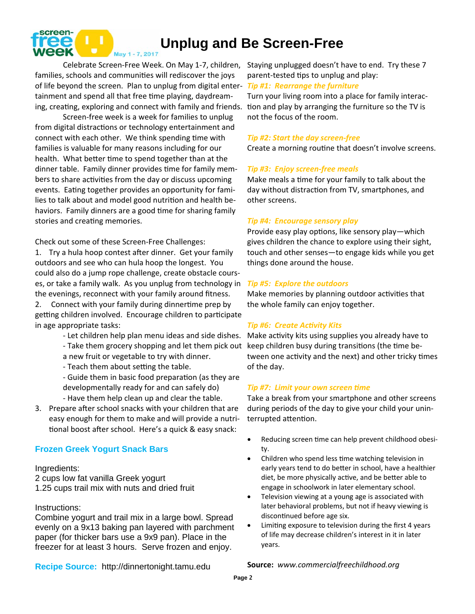

# **Unplug and Be Screen-Free**

families, schools and communities will rediscover the joys of life beyond the screen. Plan to unplug from digital enter-*Tip #1: Rearrange the furniture* tainment and spend all that free time playing, daydreaming, creating, exploring and connect with family and friends.

Screen-free week is a week for families to unplug from digital distractions or technology entertainment and connect with each other. We think spending time with families is valuable for many reasons including for our health. What better time to spend together than at the dinner table. Family dinner provides time for family members to share activities from the day or discuss upcoming events. Eating together provides an opportunity for families to talk about and model good nutrition and health behaviors. Family dinners are a good time for sharing family stories and creating memories.

Check out some of these Screen-Free Challenges:

1. Try a hula hoop contest after dinner. Get your family outdoors and see who can hula hoop the longest. You could also do a jump rope challenge, create obstacle courses, or take a family walk. As you unplug from technology in the evenings, reconnect with your family around fitness.

2. Connect with your family during dinnertime prep by getting children involved. Encourage children to participate in age appropriate tasks:

- Let children help plan menu ideas and side dishes.
- Take them grocery shopping and let them pick out
- a new fruit or vegetable to try with dinner.
- Teach them about setting the table.
- Guide them in basic food preparation (as they are developmentally ready for and can safely do) - Have them help clean up and clear the table.
- 3. Prepare after school snacks with your children that are easy enough for them to make and will provide a nutritional boost after school. Here's a quick & easy snack:

### **Frozen Greek Yogurt Snack Bars**

### Ingredients:

2 cups low fat vanilla Greek yogurt 1.25 cups trail mix with nuts and dried fruit

### Instructions:

Combine yogurt and trail mix in a large bowl. Spread evenly on a 9x13 baking pan layered with parchment paper (for thicker bars use a 9x9 pan). Place in the freezer for at least 3 hours. Serve frozen and enjoy.

Celebrate Screen-Free Week. On May 1-7, children, Staying unplugged doesn't have to end. Try these 7 parent-tested tips to unplug and play:

> Turn your living room into a place for family interaction and play by arranging the furniture so the TV is not the focus of the room.

### *Tip #2: Start the day screen‐free*

Create a morning routine that doesn't involve screens.

### *Tip #3: Enjoy screen‐free meals*

Make meals a time for your family to talk about the day without distraction from TV, smartphones, and other screens.

### *Tip #4: Encourage sensory play*

Provide easy play options, like sensory play—which gives children the chance to explore using their sight, touch and other senses—to engage kids while you get things done around the house.

### *Tip #5: Explore the outdoors*

Make memories by planning outdoor activities that the whole family can enjoy together.

### *Tip #6: Create AcƟvity Kits*

Make activity kits using supplies you already have to keep children busy during transitions (the time between one activity and the next) and other tricky times of the day.

#### *Tip #7: Limit your own screen Ɵme*

Take a break from your smartphone and other screens during periods of the day to give your child your uninterrupted attention.

- Reducing screen time can help prevent childhood obesity.
- Children who spend less time watching television in early years tend to do better in school, have a healthier diet, be more physically active, and be better able to engage in schoolwork in later elementary school.
- Television viewing at a young age is associated with later behavioral problems, but not if heavy viewing is discontinued before age six.
- Limiting exposure to television during the first 4 years of life may decrease children's interest in it in later years.

**Recipe Source:** http://dinnertonight.tamu.edu

**Source:** *www.commercialfreechildhood.org*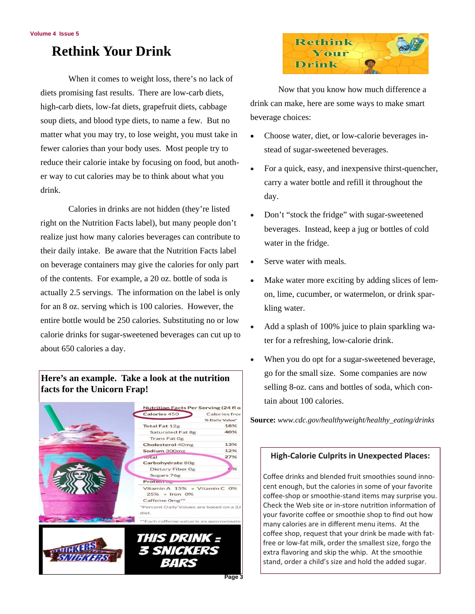# **Rethink Your Drink**

When it comes to weight loss, there's no lack of diets promising fast results. There are low-carb diets, high-carb diets, low-fat diets, grapefruit diets, cabbage soup diets, and blood type diets, to name a few. But no matter what you may try, to lose weight, you must take in fewer calories than your body uses. Most people try to reduce their calorie intake by focusing on food, but another way to cut calories may be to think about what you drink.

 Calories in drinks are not hidden (they're listed right on the Nutrition Facts label), but many people don't realize just how many calories beverages can contribute to their daily intake. Be aware that the Nutrition Facts label on beverage containers may give the calories for only part of the contents. For example, a 20 oz. bottle of soda is actually 2.5 servings. The information on the label is only for an 8 oz. serving which is 100 calories. However, the entire bottle would be 250 calories. Substituting no or low calorie drinks for sugar-sweetened beverages can cut up to about 650 calories a day.

## **Here's an example. Take a look at the nutrition facts for the Unicorn Frap!**





 Now that you know how much difference a drink can make, here are some ways to make smart beverage choices:

- Choose water, diet, or low-calorie beverages instead of sugar-sweetened beverages.
- For a quick, easy, and inexpensive thirst-quencher, carry a water bottle and refill it throughout the day.
- Don't "stock the fridge" with sugar-sweetened beverages. Instead, keep a jug or bottles of cold water in the fridge.
- Serve water with meals.
- Make water more exciting by adding slices of lemon, lime, cucumber, or watermelon, or drink sparkling water.
- Add a splash of 100% juice to plain sparkling water for a refreshing, low-calorie drink.
- When you do opt for a sugar-sweetened beverage, go for the small size. Some companies are now selling 8-oz. cans and bottles of soda, which contain about 100 calories.

**Source:** *www.cdc.gov/healthyweight/healthy\_eating/drinks*

### **High-Calorie Culprits in Unexpected Places:**

Coffee drinks and blended fruit smoothies sound innocent enough, but the calories in some of your favorite coffee-shop or smoothie-stand items may surprise you. Check the Web site or in-store nutrition information of your favorite coffee or smoothie shop to find out how many calories are in different menu items. At the coffee shop, request that your drink be made with fatfree or low-fat milk, order the smallest size, forgo the extra flavoring and skip the whip. At the smoothie stand, order a child's size and hold the added sugar.

**Page 3**